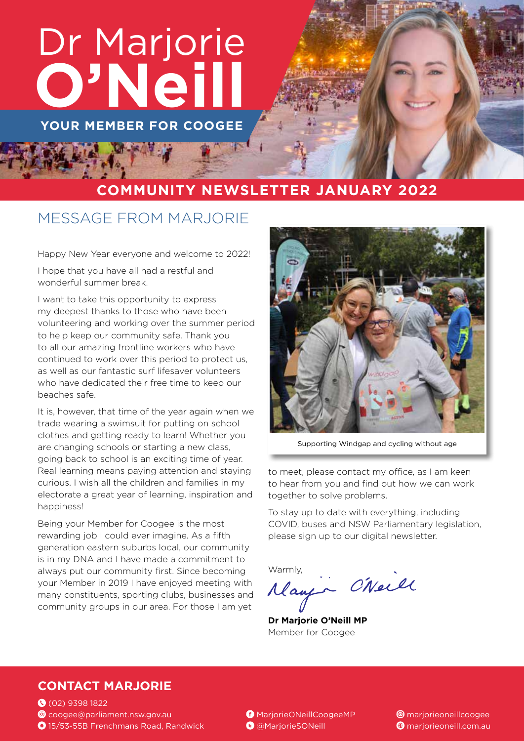# Dr Marjorie **O'Neill**

**YOUR MEMBER FOR COOGEE**

#### **COMMUNITY NEWSLETTER JANUARY 2022**

### MESSAGE FROM MARJORIE

Happy New Year everyone and welcome to 2022!

I hope that you have all had a restful and wonderful summer break.

I want to take this opportunity to express my deepest thanks to those who have been volunteering and working over the summer period to help keep our community safe. Thank you to all our amazing frontline workers who have continued to work over this period to protect us, as well as our fantastic surf lifesaver volunteers who have dedicated their free time to keep our beaches safe.

It is, however, that time of the year again when we trade wearing a swimsuit for putting on school clothes and getting ready to learn! Whether you are changing schools or starting a new class, going back to school is an exciting time of year. Real learning means paying attention and staying curious. I wish all the children and families in my electorate a great year of learning, inspiration and happiness!

Being your Member for Coogee is the most rewarding job I could ever imagine. As a fifth generation eastern suburbs local, our community is in my DNA and I have made a commitment to always put our community first. Since becoming your Member in 2019 I have enjoyed meeting with many constituents, sporting clubs, businesses and community groups in our area. For those I am yet



Supporting Windgap and cycling without age

to meet, please contact my office, as I am keen to hear from you and find out how we can work together to solve problems.

To stay up to date with everything, including COVID, buses and NSW Parliamentary legislation, please sign up to our digital newsletter.

Warmly,<br>Mayer CNeill

**Dr Marjorie O'Neill MP** Member for Coogee

#### **CONTACT MARJORIE**

(02) 9398 1822 **@** coogee@parliament.nsw.gov.au 15/53-55B Frenchmans Road, Randwick

MarjorieONeillCoogeeMP @MarjorieSONeill

**<sup>@</sup>** marjorieoneillcoogee **<sup>@</sup>** marjorieoneill.com.au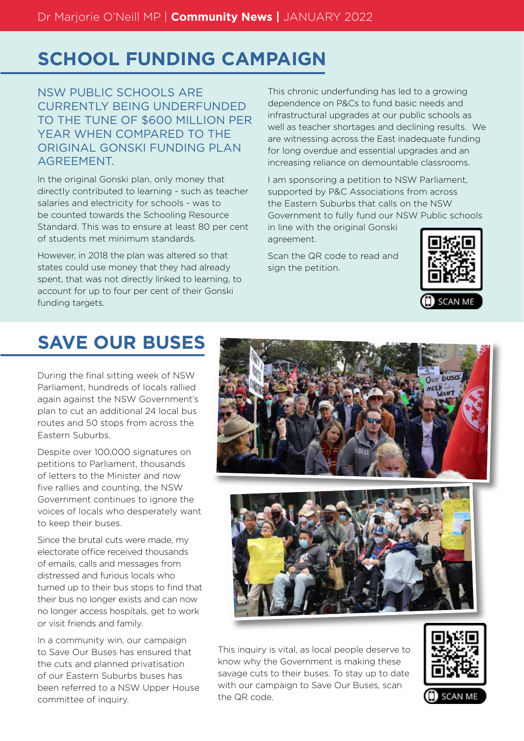## **SCHOOL FUNDING CAMPAIGN**

NSW PUBLIC SCHOOLS ARE CURRENTLY BEING UNDERFUNDED TO THE TUNE OF \$600 MILLION PER YEAR WHEN COMPARED TO THE ORIGINAL GONSKI FUNDING PLAN AGREEMENT.

In the original Gonski plan, only money that directly contributed to learning - such as teacher salaries and electricity for schools - was to be counted towards the Schooling Resource Standard. This was to ensure at least 80 per cent of students met minimum standards.

However, in 2018 the plan was altered so that states could use money that they had already spent, that was not directly linked to learning, to account for up to four per cent of their Gonski funding targets.

This chronic underfunding has led to a growing dependence on P&Cs to fund basic needs and infrastructural upgrades at our public schools as well as teacher shortages and declining results. We are witnessing across the East inadequate funding for long overdue and essential upgrades and an increasing reliance on demountable classrooms.

I am sponsoring a petition to NSW Parliament, supported by P&C Associations from across the Eastern Suburbs that calls on the NSW Government to fully fund our NSW Public schools in line with the original Gonski

Scan the QR code to read and sign the petition.

agreement.



## **SAVE OUR BUSES**

During the final sitting week of NSW Parliament, hundreds of locals rallied again against the NSW Government's plan to cut an additional 24 local bus routes and 50 stops from across the Eastern Suburbs.

Despite over 100,000 signatures on petitions to Parliament, thousands of letters to the Minister and now five rallies and counting, the NSW Government continues to ignore the voices of locals who desperately want to keep their buses.

Since the brutal cuts were made, my electorate office received thousands of emails, calls and messages from distressed and furious locals who turned up to their bus stops to find that their bus no longer exists and can now no longer access hospitals, get to work or visit friends and family.

In a community win, our campaign to Save Our Buses has ensured that the cuts and planned privatisation of our Eastern Suburbs buses has been referred to a NSW Upper House committee of inquiry.



This inquiry is vital, as local people deserve to know why the Government is making these savage cuts to their buses. To stay up to date with our campaign to Save Our Buses, scan the QR code.

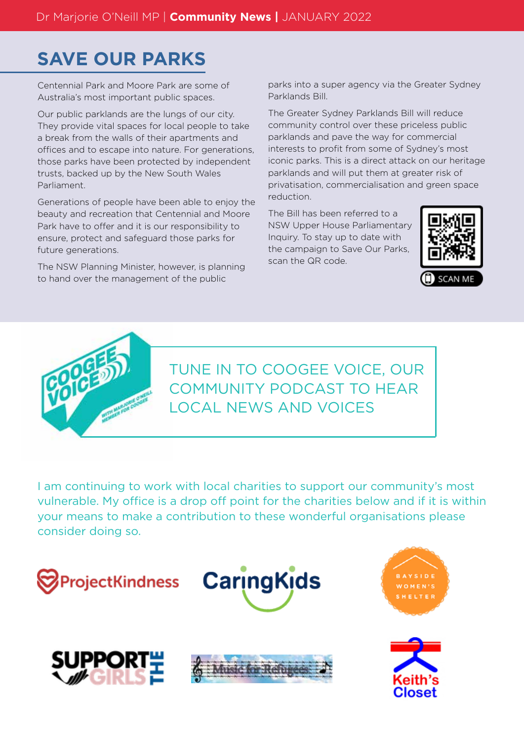## **SAVE OUR PARKS**

Centennial Park and Moore Park are some of Australia's most important public spaces.

Our public parklands are the lungs of our city. They provide vital spaces for local people to take a break from the walls of their apartments and offices and to escape into nature. For generations, those parks have been protected by independent trusts, backed up by the New South Wales Parliament.

Generations of people have been able to enjoy the beauty and recreation that Centennial and Moore Park have to offer and it is our responsibility to ensure, protect and safeguard those parks for future generations.

The NSW Planning Minister, however, is planning to hand over the management of the public

parks into a super agency via the Greater Sydney Parklands Bill.

The Greater Sydney Parklands Bill will reduce community control over these priceless public parklands and pave the way for commercial interests to profit from some of Sydney's most iconic parks. This is a direct attack on our heritage parklands and will put them at greater risk of privatisation, commercialisation and green space reduction.

The Bill has been referred to a NSW Upper House Parliamentary Inquiry. To stay up to date with the campaign to Save Our Parks, scan the QR code.





TUNE IN TO COOGEE VOICE, OUR COMMUNITY PODCAST TO HEAR LOCAL NEWS AND VOICES

I am continuing to work with local charities to support our community's most vulnerable. My office is a drop off point for the charities below and if it is within your means to make a contribution to these wonderful organisations please consider doing so.